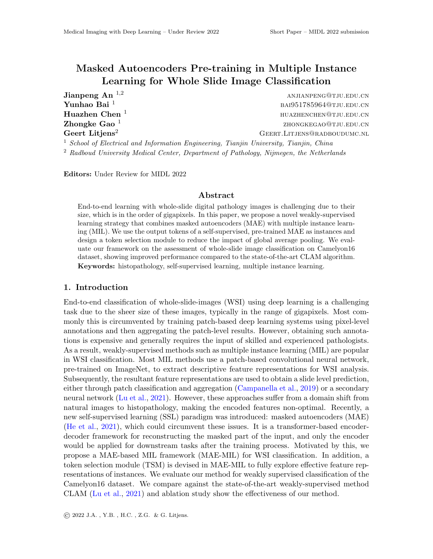# Masked Autoencoders Pre-training in Multiple Instance Learning for Whole Slide Image Classification

**Jianpeng An**  $^{1,2}$  anjianpeng@tju.edu.cn  $\mathbf{Yunhao}\;\mathbf{Bai}\;{}^{1}$  baing the set of the set of the set of the set of the set of the set of the set of the set of the set of the set of the set of the set of the set of the set of the set of the set of the set of the Huazhen Chen 1 huazhenchen@tju.edu.cn Zhongke Gao $1$ zhongkegao@tju.edu.cn Geert Litjens<sup>2</sup> GEERT.LITJENS@RADBOUDUMC.NL <sup>1</sup> School of Electrical and Information Engineering, Tianjin University, Tianjin, China <sup>2</sup> Radboud University Medical Center, Department of Pathology, Nijmegen, the Netherlands

Editors: Under Review for MIDL 2022

#### Abstract

End-to-end learning with whole-slide digital pathology images is challenging due to their size, which is in the order of gigapixels. In this paper, we propose a novel weakly-supervised learning strategy that combines masked autoencoders (MAE) with multiple instance learning (MIL). We use the output tokens of a self-supervised, pre-trained MAE as instances and design a token selection module to reduce the impact of global average pooling. We evaluate our framework on the assessment of whole-slide image classification on Camelyon16 dataset, showing improved performance compared to the state-of-the-art CLAM algorithm. Keywords: histopathology, self-supervised learning, multiple instance learning.

# 1. Introduction

End-to-end classification of whole-slide-images (WSI) using deep learning is a challenging task due to the sheer size of these images, typically in the range of gigapixels. Most commonly this is circumvented by training patch-based deep learning systems using pixel-level annotations and then aggregating the patch-level results. However, obtaining such annotations is expensive and generally requires the input of skilled and experienced pathologists. As a result, weakly-supervised methods such as multiple instance learning (MIL) are popular in WSI classification. Most MIL methods use a patch-based convolutional neural network, pre-trained on ImageNet, to extract descriptive feature representations for WSI analysis. Subsequently, the resultant feature representations are used to obtain a slide level prediction, either through patch classification and aggregation [\(Campanella et al.,](#page-2-0) [2019\)](#page-2-0) or a secondary neural network [\(Lu et al.,](#page-2-1) [2021\)](#page-2-1). However, these approaches suffer from a domain shift from natural images to histopathology, making the encoded features non-optimal. Recently, a new self-supervised learning (SSL) paradigm was introduced: masked autoencoders (MAE) [\(He et al.,](#page-2-2) [2021\)](#page-2-2), which could circumvent these issues. It is a transformer-based encoderdecoder framework for reconstructing the masked part of the input, and only the encoder would be applied for downstream tasks after the training process. Motivated by this, we propose a MAE-based MIL framework (MAE-MIL) for WSI classification. In addition, a token selection module (TSM) is devised in MAE-MIL to fully explore effective feature representations of instances. We evaluate our method for weakly supervised classification of the Camelyon16 dataset. We compare against the state-of-the-art weakly-supervised method CLAM [\(Lu et al.,](#page-2-1) [2021\)](#page-2-1) and ablation study show the effectiveness of our method.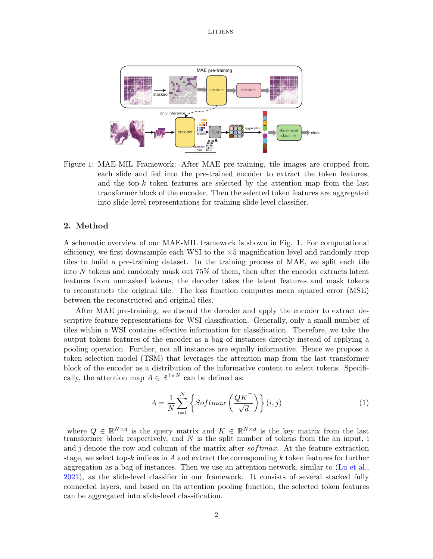**LITJENS** 



Figure 1: MAE-MIL Framework: After MAE pre-training, tile images are cropped from each slide and fed into the pre-trained encoder to extract the token features, and the top-k token features are selected by the attention map from the last transformer block of the encoder. Then the selected token features are aggregated into slide-level representations for training slide-level classifier.

## 2. Method

A schematic overview of our MAE-MIL framework is shown in Fig. 1. For computational efficiency, we first downsample each WSI to the  $\times 5$  magnification level and randomly crop tiles to build a pre-training dataset. In the training process of MAE, we split each tile into N tokens and randomly mask out 75% of them, then after the encoder extracts latent features from unmasked tokens, the decoder takes the latent features and mask tokens to reconstructs the original tile. The loss function computes mean squared error (MSE) between the reconstructed and original tiles.

After MAE pre-training, we discard the decoder and apply the encoder to extract descriptive feature representations for WSI classification. Generally, only a small number of tiles within a WSI contains effective information for classification. Therefore, we take the output tokens features of the encoder as a bag of instances directly instead of applying a pooling operation. Further, not all instances are equally informative. Hence we propose a token selection model (TSM) that leverages the attention map from the last transformer block of the encoder as a distribution of the informative content to select tokens. Specifically, the attention map  $A \in \mathbb{R}^{1 \times N}$  can be defined as:

$$
A = \frac{1}{N} \sum_{i=1}^{N} \left\{ Softmax \left( \frac{QK^{\top}}{\sqrt{d}} \right) \right\} (i, j)
$$
 (1)

where  $Q \in \mathbb{R}^{N \times d}$  is the query matrix and  $K \in \mathbb{R}^{N \times d}$  is the key matrix from the last transformer block respectively, and  $N$  is the split number of tokens from the an input, i and j denote the row and column of the matrix after  $softmax$ . At the feature extraction stage, we select top-k indices in A and extract the corresponding  $k$  token features for further aggregation as a bag of instances. Then we use an attention network, similar to [\(Lu et al.,](#page-2-1) [2021\)](#page-2-1), as the slide-level classifier in our framework. It consists of several stacked fully connected layers, and based on its attention pooling function, the selected token features can be aggregated into slide-level classification.